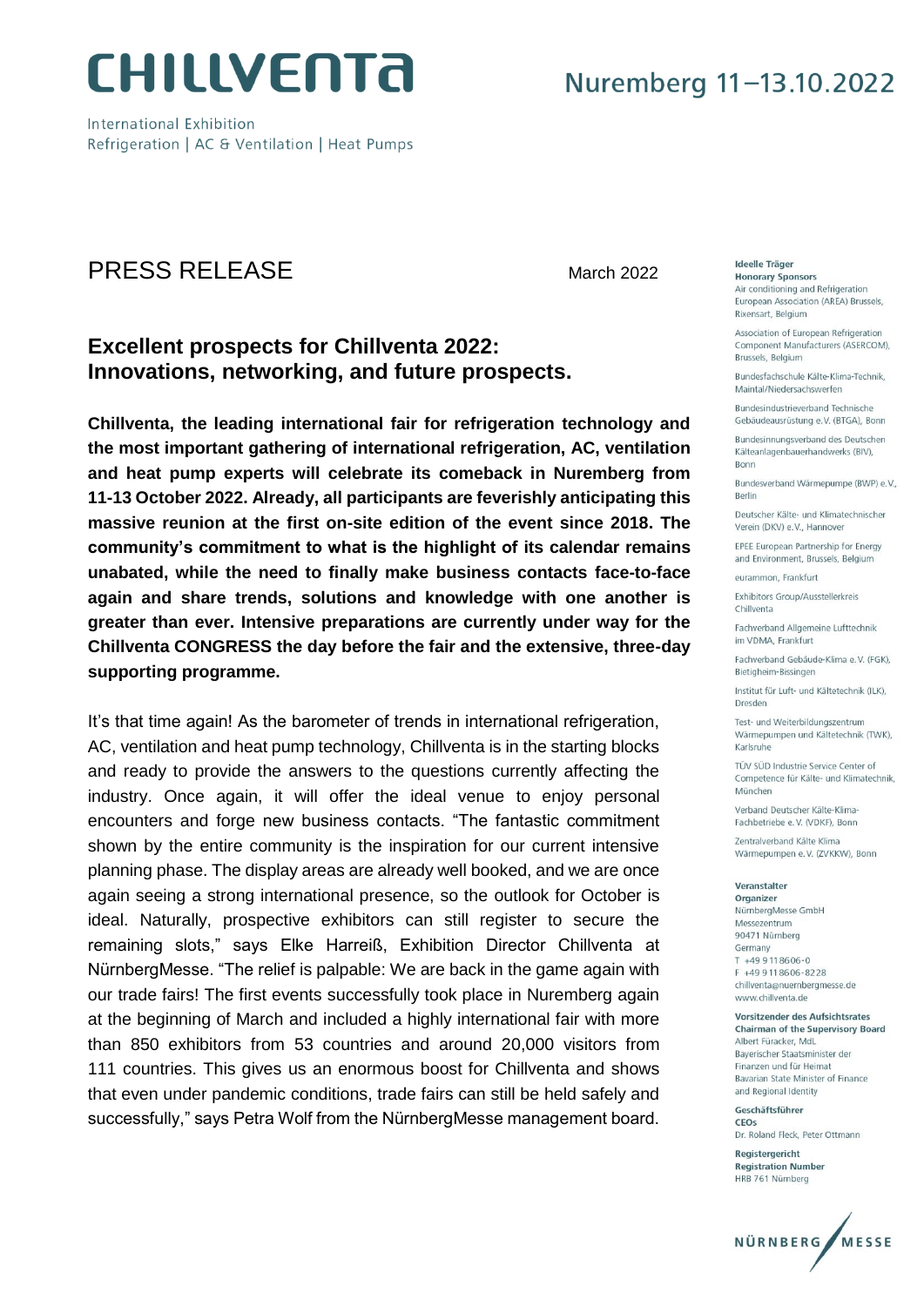

International Exhibition Refrigeration | AC & Ventilation | Heat Pumps

## **PRESS RELEASE**

March 2022

### **Excellent prospects for Chillventa 2022:** Innovations, networking, and future prospects.

Chillventa, the leading international fair for refrigeration technology and the most important gathering of international refrigeration, AC, ventilation and heat pump experts will celebrate its comeback in Nuremberg from 11-13 October 2022. Already, all participants are feverishly anticipating this massive reunion at the first on-site edition of the event since 2018. The community's commitment to what is the highlight of its calendar remains unabated, while the need to finally make business contacts face-to-face again and share trends, solutions and knowledge with one another is greater than ever. Intensive preparations are currently under way for the Chillventa CONGRESS the day before the fair and the extensive, three-day supporting programme.

It's that time again! As the barometer of trends in international refrigeration, AC, ventilation and heat pump technology, Chillventa is in the starting blocks and ready to provide the answers to the questions currently affecting the industry. Once again, it will offer the ideal venue to enjoy personal encounters and forge new business contacts. "The fantastic commitment shown by the entire community is the inspiration for our current intensive planning phase. The display areas are already well booked, and we are once again seeing a strong international presence, so the outlook for October is ideal. Naturally, prospective exhibitors can still register to secure the remaining slots," says Elke Harreiß, Exhibition Director Chillventa at NürnbergMesse. "The relief is palpable: We are back in the game again with our trade fairs! The first events successfully took place in Nuremberg again at the beginning of March and included a highly international fair with more than 850 exhibitors from 53 countries and around 20,000 visitors from 111 countries. This gives us an enormous boost for Chillventa and shows that even under pandemic conditions, trade fairs can still be held safely and successfully," says Petra Wolf from the NürnbergMesse management board.

Ideelle Träger **Honorary Sponsors** 

Air conditioning and Refrigeration European Association (AREA) Brussels. Rixensart, Belgium

Association of European Refrigeration Component Manufacturers (ASERCOM). Brussels, Belgium

Bundesfachschule Kälte-Klima-Technik Maintal/Niedersachswerfen

Bundesindustrieverband Technische Gebäudeausrüstung e.V. (BTGA), Bonn

Bundesinnungsverband des Deutschen Kälteanlagenbauerhandwerks (BIV), **Bonn** 

Bundesverband Wärmepumpe (BWP) e.V., Berlin

Deutscher Kälte- und Klimatechnischer Verein (DKV) e.V., Hannover

**FPFF European Partnership for Energy** and Environment, Brussels, Belgium

eurammon, Frankfurt

Exhibitors Group/Ausstellerkreis Chillyenta

Fachverband Allgemeine Lufttechnik im VDMA, Frankfurt

Eachverband Gebäude-Klima e V (EGK) Bietigheim-Bissingen

Institut für Luft- und Kältetechnik (ILK), Dresden

Test- und Weiterbildungszentrum Wärmepumpen und Kältetechnik (TWK), Karlsruhe

TÜV SÜD Industrie Service Center of Competence für Kälte- und Klimatechnik, München

Verband Deutscher Kälte-Klima-Fachbetriebe e.V. (VDKF), Bonn

Zentralverband Kälte Klima Wärmepumpen e.V. (ZVKKW), Bonn

Veranstalter

Organizer NürnbergMesse GmbH Messezentrum 90471 Nürnberg Germany T +49 9 11 86 06 - 0 F +49 9118606-8228 chillventa@nuernbergmesse.de www.chillyenta.de

Vorsitzender des Aufsichtsrates Chairman of the Supervisory Board Albert Füracker, MdL Baverischer Staatsminister der Finanzen und für Heimat Bavarian State Minister of Finance and Regional Identity

Geschäftsführer CEOS Dr. Roland Fleck, Peter Ottmann

Registergericht **Registration Number** HRB 761 Nürnberg